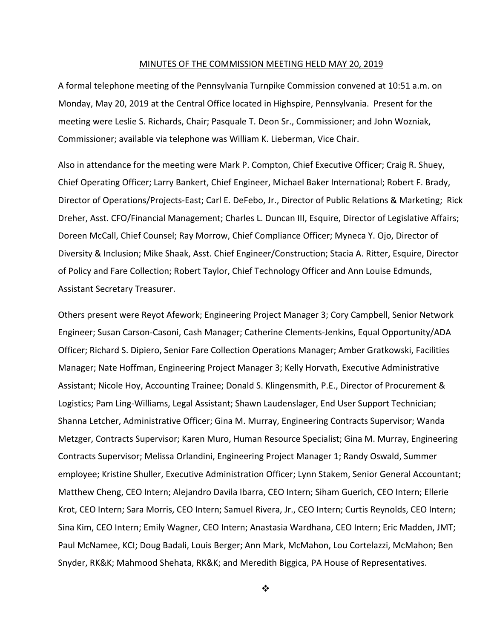#### MINUTES OF THE COMMISSION MEETING HELD MAY 20, 2019

A formal telephone meeting of the Pennsylvania Turnpike Commission convened at 10:51 a.m. on Monday, May 20, 2019 at the Central Office located in Highspire, Pennsylvania. Present for the meeting were Leslie S. Richards, Chair; Pasquale T. Deon Sr., Commissioner; and John Wozniak, Commissioner; available via telephone was William K. Lieberman, Vice Chair.

Also in attendance for the meeting were Mark P. Compton, Chief Executive Officer; Craig R. Shuey, Chief Operating Officer; Larry Bankert, Chief Engineer, Michael Baker International; Robert F. Brady, Director of Operations/Projects‐East; Carl E. DeFebo, Jr., Director of Public Relations & Marketing; Rick Dreher, Asst. CFO/Financial Management; Charles L. Duncan III, Esquire, Director of Legislative Affairs; Doreen McCall, Chief Counsel; Ray Morrow, Chief Compliance Officer; Myneca Y. Ojo, Director of Diversity & Inclusion; Mike Shaak, Asst. Chief Engineer/Construction; Stacia A. Ritter, Esquire, Director of Policy and Fare Collection; Robert Taylor, Chief Technology Officer and Ann Louise Edmunds, Assistant Secretary Treasurer.

Others present were Reyot Afework; Engineering Project Manager 3; Cory Campbell, Senior Network Engineer; Susan Carson‐Casoni, Cash Manager; Catherine Clements‐Jenkins, Equal Opportunity/ADA Officer; Richard S. Dipiero, Senior Fare Collection Operations Manager; Amber Gratkowski, Facilities Manager; Nate Hoffman, Engineering Project Manager 3; Kelly Horvath, Executive Administrative Assistant; Nicole Hoy, Accounting Trainee; Donald S. Klingensmith, P.E., Director of Procurement & Logistics; Pam Ling‐Williams, Legal Assistant; Shawn Laudenslager, End User Support Technician; Shanna Letcher, Administrative Officer; Gina M. Murray, Engineering Contracts Supervisor; Wanda Metzger, Contracts Supervisor; Karen Muro, Human Resource Specialist; Gina M. Murray, Engineering Contracts Supervisor; Melissa Orlandini, Engineering Project Manager 1; Randy Oswald, Summer employee; Kristine Shuller, Executive Administration Officer; Lynn Stakem, Senior General Accountant; Matthew Cheng, CEO Intern; Alejandro Davila Ibarra, CEO Intern; Siham Guerich, CEO Intern; Ellerie Krot, CEO Intern; Sara Morris, CEO Intern; Samuel Rivera, Jr., CEO Intern; Curtis Reynolds, CEO Intern; Sina Kim, CEO Intern; Emily Wagner, CEO Intern; Anastasia Wardhana, CEO Intern; Eric Madden, JMT; Paul McNamee, KCI; Doug Badali, Louis Berger; Ann Mark, McMahon, Lou Cortelazzi, McMahon; Ben Snyder, RK&K; Mahmood Shehata, RK&K; and Meredith Biggica, PA House of Representatives.

 $\cdot$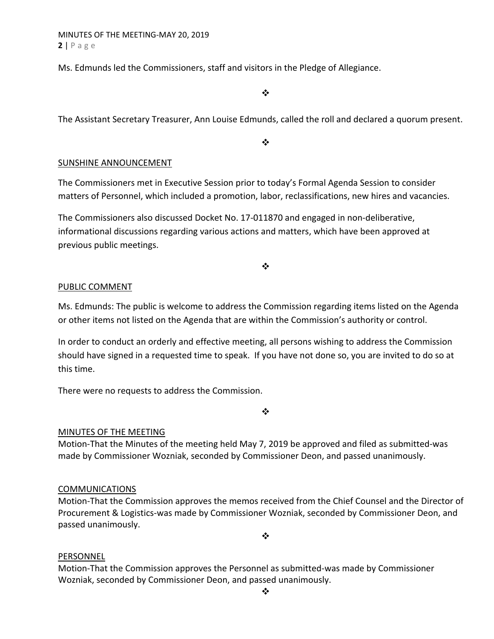Ms. Edmunds led the Commissioners, staff and visitors in the Pledge of Allegiance.

 $\bullet^{\bullet}_{\bullet} \bullet$ 

The Assistant Secretary Treasurer, Ann Louise Edmunds, called the roll and declared a quorum present.

 $\cdot$ 

### SUNSHINE ANNOUNCEMENT

The Commissioners met in Executive Session prior to today's Formal Agenda Session to consider matters of Personnel, which included a promotion, labor, reclassifications, new hires and vacancies.

The Commissioners also discussed Docket No. 17-011870 and engaged in non-deliberative, informational discussions regarding various actions and matters, which have been approved at previous public meetings.

#### $\cdot$

#### PUBLIC COMMENT

Ms. Edmunds: The public is welcome to address the Commission regarding items listed on the Agenda or other items not listed on the Agenda that are within the Commission's authority or control.

In order to conduct an orderly and effective meeting, all persons wishing to address the Commission should have signed in a requested time to speak. If you have not done so, you are invited to do so at this time.

There were no requests to address the Commission.

 $\bullet^{\bullet}_{\mathbf{a}^{\bullet}}$ 

#### MINUTES OF THE MEETING

Motion‐That the Minutes of the meeting held May 7, 2019 be approved and filed as submitted‐was made by Commissioner Wozniak, seconded by Commissioner Deon, and passed unanimously.

#### COMMUNICATIONS

Motion‐That the Commission approves the memos received from the Chief Counsel and the Director of Procurement & Logistics‐was made by Commissioner Wozniak, seconded by Commissioner Deon, and passed unanimously.

#### $\bullet^{\bullet}_{\bullet} \bullet$

#### PERSONNEL

Motion‐That the Commission approves the Personnel as submitted‐was made by Commissioner Wozniak, seconded by Commissioner Deon, and passed unanimously.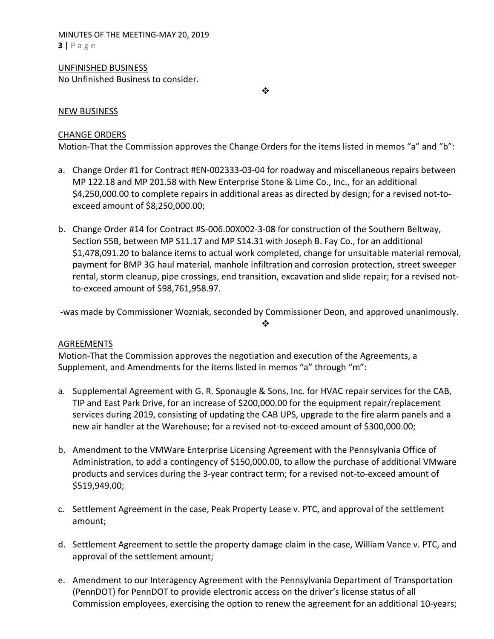MINUTES OF THE MEETING‐MAY 20, 2019 **3** | Page

#### UNFINISHED BUSINESS

No Unfinished Business to consider.

 $\bullet^{\bullet}_{\bullet} \bullet$ 

#### NEW BUSINESS

#### CHANGE ORDERS

Motion-That the Commission approves the Change Orders for the items listed in memos "a" and "b":

- a. Change Order #1 for Contract #EN‐002333‐03‐04 for roadway and miscellaneous repairs between MP 122.18 and MP 201.58 with New Enterprise Stone & Lime Co., Inc., for an additional \$4,250,000.00 to complete repairs in additional areas as directed by design; for a revised not‐to‐ exceed amount of \$8,250,000.00;
- b. Change Order #14 for Contract #S‐006.00X002‐3‐08 for construction of the Southern Beltway, Section 55B, between MP S11.17 and MP S14.31 with Joseph B. Fay Co., for an additional \$1,478,091.20 to balance items to actual work completed, change for unsuitable material removal, payment for BMP 3G haul material, manhole infiltration and corrosion protection, street sweeper rental, storm cleanup, pipe crossings, end transition, excavation and slide repair; for a revised not‐ to‐exceed amount of \$98,761,958.97.

 ‐was made by Commissioner Wozniak, seconded by Commissioner Deon, and approved unanimously.  $\bullet^{\bullet}_{\mathbf{a}^{\bullet}}$ 

#### AGREEMENTS

Motion‐That the Commission approves the negotiation and execution of the Agreements, a Supplement, and Amendments for the items listed in memos "a" through "m":

- a. Supplemental Agreement with G. R. Sponaugle & Sons, Inc. for HVAC repair services for the CAB, TIP and East Park Drive, for an increase of \$200,000.00 for the equipment repair/replacement services during 2019, consisting of updating the CAB UPS, upgrade to the fire alarm panels and a new air handler at the Warehouse; for a revised not‐to‐exceed amount of \$300,000.00;
- b. Amendment to the VMWare Enterprise Licensing Agreement with the Pennsylvania Office of Administration, to add a contingency of \$150,000.00, to allow the purchase of additional VMware products and services during the 3‐year contract term; for a revised not‐to‐exceed amount of \$519,949.00;
- c. Settlement Agreement in the case, Peak Property Lease v. PTC, and approval of the settlement amount;
- d. Settlement Agreement to settle the property damage claim in the case, William Vance v. PTC, and approval of the settlement amount;
- e. Amendment to our Interagency Agreement with the Pennsylvania Department of Transportation (PennDOT) for PennDOT to provide electronic access on the driver's license status of all Commission employees, exercising the option to renew the agreement for an additional 10‐years;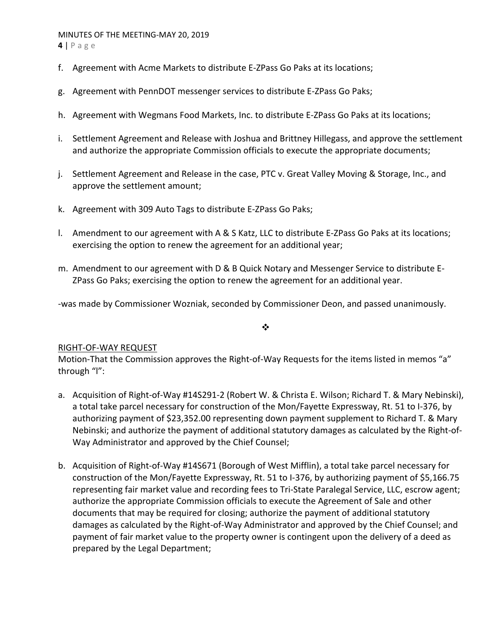# MINUTES OF THE MEETING‐MAY 20, 2019

**4** | Page

- f. Agreement with Acme Markets to distribute E‐ZPass Go Paks at its locations;
- g. Agreement with PennDOT messenger services to distribute E‐ZPass Go Paks;
- h. Agreement with Wegmans Food Markets, Inc. to distribute E‐ZPass Go Paks at its locations;
- i. Settlement Agreement and Release with Joshua and Brittney Hillegass, and approve the settlement and authorize the appropriate Commission officials to execute the appropriate documents;
- j. Settlement Agreement and Release in the case, PTC v. Great Valley Moving & Storage, Inc., and approve the settlement amount;
- k. Agreement with 309 Auto Tags to distribute E‐ZPass Go Paks;
- l. Amendment to our agreement with A & S Katz, LLC to distribute E‐ZPass Go Paks at its locations; exercising the option to renew the agreement for an additional year;
- m. Amendment to our agreement with D & B Quick Notary and Messenger Service to distribute E‐ ZPass Go Paks; exercising the option to renew the agreement for an additional year.

‐was made by Commissioner Wozniak, seconded by Commissioner Deon, and passed unanimously.

#### ❖

## RIGHT‐OF‐WAY REQUEST

Motion-That the Commission approves the Right-of-Way Requests for the items listed in memos "a" through "l":

- a. Acquisition of Right‐of‐Way #14S291‐2 (Robert W. & Christa E. Wilson; Richard T. & Mary Nebinski), a total take parcel necessary for construction of the Mon/Fayette Expressway, Rt. 51 to I‐376, by authorizing payment of \$23,352.00 representing down payment supplement to Richard T. & Mary Nebinski; and authorize the payment of additional statutory damages as calculated by the Right‐of‐ Way Administrator and approved by the Chief Counsel;
- b. Acquisition of Right‐of‐Way #14S671 (Borough of West Mifflin), a total take parcel necessary for construction of the Mon/Fayette Expressway, Rt. 51 to I‐376, by authorizing payment of \$5,166.75 representing fair market value and recording fees to Tri‐State Paralegal Service, LLC, escrow agent; authorize the appropriate Commission officials to execute the Agreement of Sale and other documents that may be required for closing; authorize the payment of additional statutory damages as calculated by the Right‐of‐Way Administrator and approved by the Chief Counsel; and payment of fair market value to the property owner is contingent upon the delivery of a deed as prepared by the Legal Department;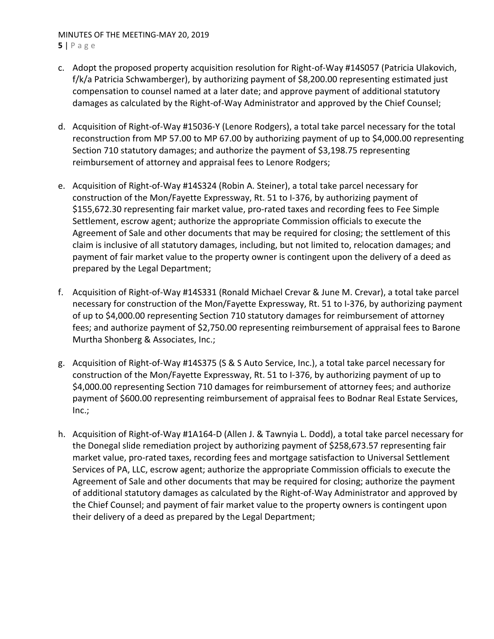#### MINUTES OF THE MEETING‐MAY 20, 2019 **5** | Page

- c. Adopt the proposed property acquisition resolution for Right‐of‐Way #14S057 (Patricia Ulakovich, f/k/a Patricia Schwamberger), by authorizing payment of \$8,200.00 representing estimated just compensation to counsel named at a later date; and approve payment of additional statutory damages as calculated by the Right‐of‐Way Administrator and approved by the Chief Counsel;
- d. Acquisition of Right‐of‐Way #15036‐Y (Lenore Rodgers), a total take parcel necessary for the total reconstruction from MP 57.00 to MP 67.00 by authorizing payment of up to \$4,000.00 representing Section 710 statutory damages; and authorize the payment of \$3,198.75 representing reimbursement of attorney and appraisal fees to Lenore Rodgers;
- e. Acquisition of Right‐of‐Way #14S324 (Robin A. Steiner), a total take parcel necessary for construction of the Mon/Fayette Expressway, Rt. 51 to I‐376, by authorizing payment of \$155,672.30 representing fair market value, pro-rated taxes and recording fees to Fee Simple Settlement, escrow agent; authorize the appropriate Commission officials to execute the Agreement of Sale and other documents that may be required for closing; the settlement of this claim is inclusive of all statutory damages, including, but not limited to, relocation damages; and payment of fair market value to the property owner is contingent upon the delivery of a deed as prepared by the Legal Department;
- f. Acquisition of Right‐of‐Way #14S331 (Ronald Michael Crevar & June M. Crevar), a total take parcel necessary for construction of the Mon/Fayette Expressway, Rt. 51 to I‐376, by authorizing payment of up to \$4,000.00 representing Section 710 statutory damages for reimbursement of attorney fees; and authorize payment of \$2,750.00 representing reimbursement of appraisal fees to Barone Murtha Shonberg & Associates, Inc.;
- g. Acquisition of Right‐of‐Way #14S375 (S & S Auto Service, Inc.), a total take parcel necessary for construction of the Mon/Fayette Expressway, Rt. 51 to I‐376, by authorizing payment of up to \$4,000.00 representing Section 710 damages for reimbursement of attorney fees; and authorize payment of \$600.00 representing reimbursement of appraisal fees to Bodnar Real Estate Services, Inc.;
- h. Acquisition of Right‐of‐Way #1A164‐D (Allen J. & Tawnyia L. Dodd), a total take parcel necessary for the Donegal slide remediation project by authorizing payment of \$258,673.57 representing fair market value, pro‐rated taxes, recording fees and mortgage satisfaction to Universal Settlement Services of PA, LLC, escrow agent; authorize the appropriate Commission officials to execute the Agreement of Sale and other documents that may be required for closing; authorize the payment of additional statutory damages as calculated by the Right‐of‐Way Administrator and approved by the Chief Counsel; and payment of fair market value to the property owners is contingent upon their delivery of a deed as prepared by the Legal Department;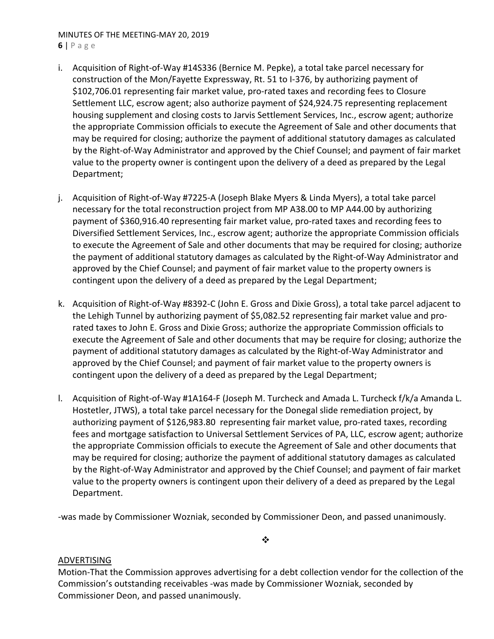## MINUTES OF THE MEETING‐MAY 20, 2019

**6** | Page

- i. Acquisition of Right‐of‐Way #14S336 (Bernice M. Pepke), a total take parcel necessary for construction of the Mon/Fayette Expressway, Rt. 51 to I‐376, by authorizing payment of \$102,706.01 representing fair market value, pro‐rated taxes and recording fees to Closure Settlement LLC, escrow agent; also authorize payment of \$24,924.75 representing replacement housing supplement and closing costs to Jarvis Settlement Services, Inc., escrow agent; authorize the appropriate Commission officials to execute the Agreement of Sale and other documents that may be required for closing; authorize the payment of additional statutory damages as calculated by the Right‐of‐Way Administrator and approved by the Chief Counsel; and payment of fair market value to the property owner is contingent upon the delivery of a deed as prepared by the Legal Department;
- j. Acquisition of Right-of-Way #7225-A (Joseph Blake Myers & Linda Myers), a total take parcel necessary for the total reconstruction project from MP A38.00 to MP A44.00 by authorizing payment of \$360,916.40 representing fair market value, pro‐rated taxes and recording fees to Diversified Settlement Services, Inc., escrow agent; authorize the appropriate Commission officials to execute the Agreement of Sale and other documents that may be required for closing; authorize the payment of additional statutory damages as calculated by the Right‐of‐Way Administrator and approved by the Chief Counsel; and payment of fair market value to the property owners is contingent upon the delivery of a deed as prepared by the Legal Department;
- k. Acquisition of Right‐of‐Way #8392‐C (John E. Gross and Dixie Gross), a total take parcel adjacent to the Lehigh Tunnel by authorizing payment of \$5,082.52 representing fair market value and prorated taxes to John E. Gross and Dixie Gross; authorize the appropriate Commission officials to execute the Agreement of Sale and other documents that may be require for closing; authorize the payment of additional statutory damages as calculated by the Right‐of‐Way Administrator and approved by the Chief Counsel; and payment of fair market value to the property owners is contingent upon the delivery of a deed as prepared by the Legal Department;
- l. Acquisition of Right‐of‐Way #1A164‐F (Joseph M. Turcheck and Amada L. Turcheck f/k/a Amanda L. Hostetler, JTWS), a total take parcel necessary for the Donegal slide remediation project, by authorizing payment of \$126,983.80 representing fair market value, pro-rated taxes, recording fees and mortgage satisfaction to Universal Settlement Services of PA, LLC, escrow agent; authorize the appropriate Commission officials to execute the Agreement of Sale and other documents that may be required for closing; authorize the payment of additional statutory damages as calculated by the Right‐of‐Way Administrator and approved by the Chief Counsel; and payment of fair market value to the property owners is contingent upon their delivery of a deed as prepared by the Legal Department.

‐was made by Commissioner Wozniak, seconded by Commissioner Deon, and passed unanimously.

 $\bullet \bullet$ 

#### ADVERTISING

Motion‐That the Commission approves advertising for a debt collection vendor for the collection of the Commission's outstanding receivables ‐was made by Commissioner Wozniak, seconded by Commissioner Deon, and passed unanimously.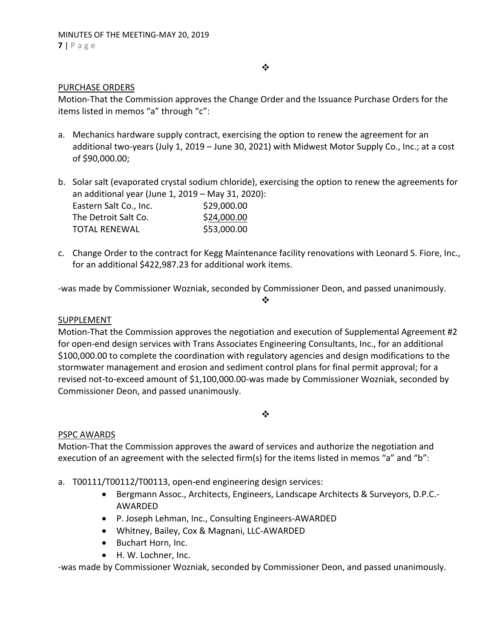#### $\bullet^{\bullet}_{\bullet} \bullet$

#### PURCHASE ORDERS

Motion‐That the Commission approves the Change Order and the Issuance Purchase Orders for the items listed in memos "a" through "c":

- a. Mechanics hardware supply contract, exercising the option to renew the agreement for an additional two-years (July 1, 2019 – June 30, 2021) with Midwest Motor Supply Co., Inc.; at a cost of \$90,000.00;
- b. Solar salt (evaporated crystal sodium chloride), exercising the option to renew the agreements for an additional year (June 1, 2019 – May 31, 2020): Eastern Salt Co., Inc. \$29,000.00 The Detroit Salt Co.  $$24,000.00$ TOTAL RENEWAL \$53,000.00
- c. Change Order to the contract for Kegg Maintenance facility renovations with Leonard S. Fiore, Inc., for an additional \$422,987.23 for additional work items.

 $\mathbf{r}^{\bullet}_{\mathbf{a}^{\bullet}}$ 

‐was made by Commissioner Wozniak, seconded by Commissioner Deon, and passed unanimously.

#### SUPPLEMENT

Motion-That the Commission approves the negotiation and execution of Supplemental Agreement #2 for open-end design services with Trans Associates Engineering Consultants, Inc., for an additional \$100,000.00 to complete the coordination with regulatory agencies and design modifications to the stormwater management and erosion and sediment control plans for final permit approval; for a revised not‐to‐exceed amount of \$1,100,000.00‐was made by Commissioner Wozniak, seconded by Commissioner Deon, and passed unanimously.

 $\frac{1}{2}$ 

#### PSPC AWARDS

Motion‐That the Commission approves the award of services and authorize the negotiation and execution of an agreement with the selected firm(s) for the items listed in memos "a" and "b":

- a. T00111/T00112/T00113, open-end engineering design services:
	- Bergmann Assoc., Architects, Engineers, Landscape Architects & Surveyors, D.P.C. AWARDED
	- P. Joseph Lehman, Inc., Consulting Engineers-AWARDED
	- Whitney, Bailey, Cox & Magnani, LLC‐AWARDED
	- Buchart Horn, Inc.
	- H. W. Lochner, Inc.

‐was made by Commissioner Wozniak, seconded by Commissioner Deon, and passed unanimously.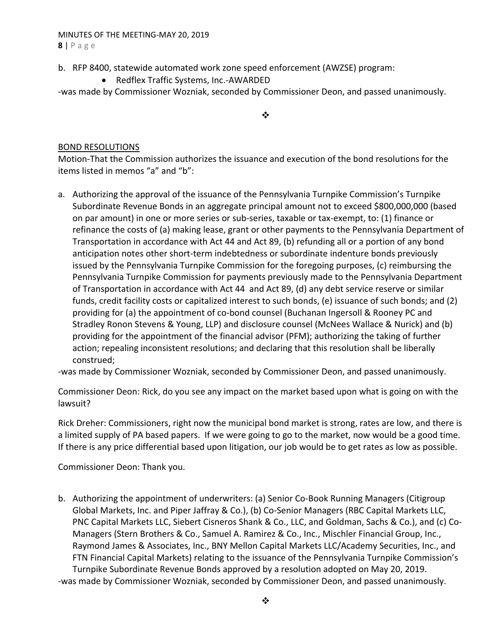# MINUTES OF THE MEETING‐MAY 20, 2019

**8** | Page

- b. RFP 8400, statewide automated work zone speed enforcement (AWZSE) program:
	- Redflex Traffic Systems, Inc.-AWARDED
- ‐was made by Commissioner Wozniak, seconded by Commissioner Deon, and passed unanimously.

 $\frac{1}{2}$ 

### BOND RESOLUTIONS

Motion‐That the Commission authorizes the issuance and execution of the bond resolutions for the items listed in memos "a" and "b":

a. Authorizing the approval of the issuance of the Pennsylvania Turnpike Commission's Turnpike Subordinate Revenue Bonds in an aggregate principal amount not to exceed \$800,000,000 (based on par amount) in one or more series or sub‐series, taxable or tax‐exempt, to: (1) finance or refinance the costs of (a) making lease, grant or other payments to the Pennsylvania Department of Transportation in accordance with Act 44 and Act 89, (b) refunding all or a portion of any bond anticipation notes other short-term indebtedness or subordinate indenture bonds previously issued by the Pennsylvania Turnpike Commission for the foregoing purposes, (c) reimbursing the Pennsylvania Turnpike Commission for payments previously made to the Pennsylvania Department of Transportation in accordance with Act 44 and Act 89, (d) any debt service reserve or similar funds, credit facility costs or capitalized interest to such bonds, (e) issuance of such bonds; and (2) providing for (a) the appointment of co‐bond counsel (Buchanan Ingersoll & Rooney PC and Stradley Ronon Stevens & Young, LLP) and disclosure counsel (McNees Wallace & Nurick) and (b) providing for the appointment of the financial advisor (PFM); authorizing the taking of further action; repealing inconsistent resolutions; and declaring that this resolution shall be liberally construed;

‐was made by Commissioner Wozniak, seconded by Commissioner Deon, and passed unanimously.

Commissioner Deon: Rick, do you see any impact on the market based upon what is going on with the lawsuit?

Rick Dreher: Commissioners, right now the municipal bond market is strong, rates are low, and there is a limited supply of PA based papers. If we were going to go to the market, now would be a good time. If there is any price differential based upon litigation, our job would be to get rates as low as possible.

Commissioner Deon: Thank you.

b. Authorizing the appointment of underwriters: (a) Senior Co‐Book Running Managers (Citigroup Global Markets, Inc. and Piper Jaffray & Co.), (b) Co‐Senior Managers (RBC Capital Markets LLC, PNC Capital Markets LLC, Siebert Cisneros Shank & Co., LLC, and Goldman, Sachs & Co.), and (c) Co‐ Managers (Stern Brothers & Co., Samuel A. Ramirez & Co., Inc., Mischler Financial Group, Inc., Raymond James & Associates, Inc., BNY Mellon Capital Markets LLC/Academy Securities, Inc., and FTN Financial Capital Markets) relating to the issuance of the Pennsylvania Turnpike Commission's Turnpike Subordinate Revenue Bonds approved by a resolution adopted on May 20, 2019. ‐was made by Commissioner Wozniak, seconded by Commissioner Deon, and passed unanimously.